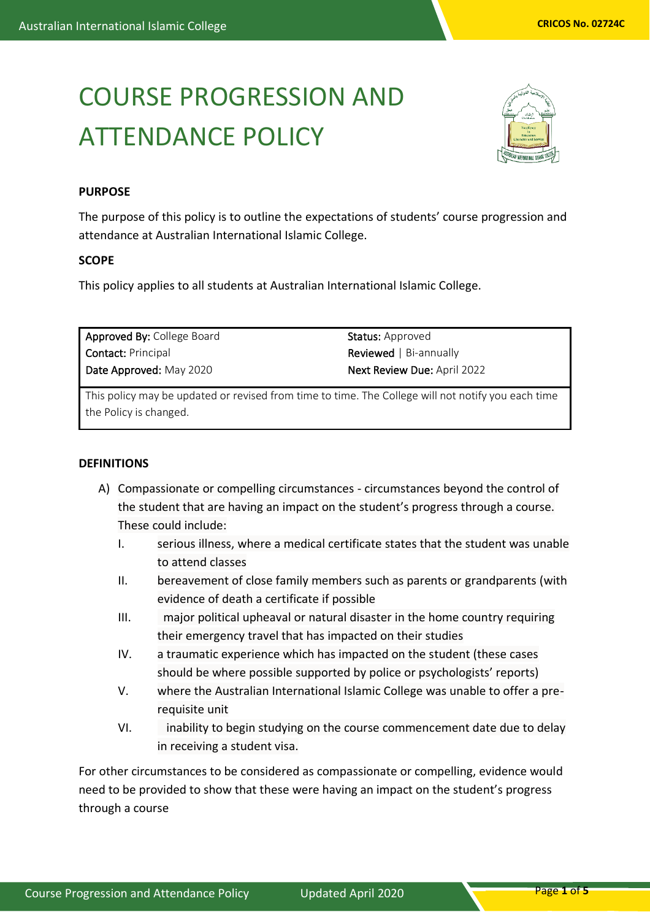# COURSE PROGRESSION AND ATTENDANCE POLICY



## **PURPOSE**

The purpose of this policy is to outline the expectations of students' course progression and attendance at Australian International Islamic College.

#### **SCOPE**

This policy applies to all students at Australian International Islamic College.

| Approved By: College Board | <b>Status:</b> Approved            |
|----------------------------|------------------------------------|
| <b>Contact: Principal</b>  | <b>Reviewed</b>   Bi-annually      |
| Date Approved: May 2020    | <b>Next Review Due: April 2022</b> |

This policy may be updated or revised from time to time. The College will not notify you each time the Policy is changed.

### **DEFINITIONS**

- A) Compassionate or compelling circumstances circumstances beyond the control of the student that are having an impact on the student's progress through a course. These could include:
	- I. serious illness, where a medical certificate states that the student was unable to attend classes
	- II. bereavement of close family members such as parents or grandparents (with evidence of death a certificate if possible
	- III. major political upheaval or natural disaster in the home country requiring their emergency travel that has impacted on their studies
	- IV. a traumatic experience which has impacted on the student (these cases should be where possible supported by police or psychologists' reports)
	- V. where the Australian International Islamic College was unable to offer a prerequisite unit
	- VI. inability to begin studying on the course commencement date due to delay in receiving a student visa.

For other circumstances to be considered as compassionate or compelling, evidence would need to be provided to show that these were having an impact on the student's progress through a course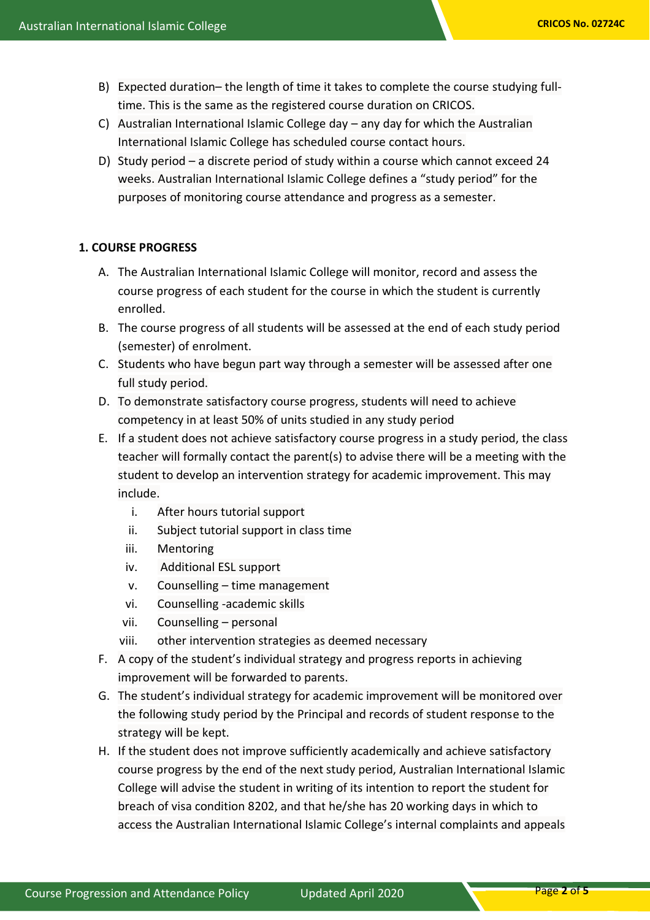- B) Expected duration– the length of time it takes to complete the course studying fulltime. This is the same as the registered course duration on CRICOS.
- C) Australian International Islamic College day any day for which the Australian International Islamic College has scheduled course contact hours.
- D) Study period a discrete period of study within a course which cannot exceed 24 weeks. Australian International Islamic College defines a "study period" for the purposes of monitoring course attendance and progress as a semester.

## **1. COURSE PROGRESS**

- A. The Australian International Islamic College will monitor, record and assess the course progress of each student for the course in which the student is currently enrolled.
- B. The course progress of all students will be assessed at the end of each study period (semester) of enrolment.
- C. Students who have begun part way through a semester will be assessed after one full study period.
- D. To demonstrate satisfactory course progress, students will need to achieve competency in at least 50% of units studied in any study period
- E. If a student does not achieve satisfactory course progress in a study period, the class teacher will formally contact the parent(s) to advise there will be a meeting with the student to develop an intervention strategy for academic improvement. This may include.
	- i. After hours tutorial support
	- ii. Subject tutorial support in class time
	- iii. Mentoring
	- iv. Additional ESL support
	- v. Counselling time management
	- vi. Counselling -academic skills
	- vii. Counselling personal
	- viii. other intervention strategies as deemed necessary
- F. A copy of the student's individual strategy and progress reports in achieving improvement will be forwarded to parents.
- G. The student's individual strategy for academic improvement will be monitored over the following study period by the Principal and records of student response to the strategy will be kept.
- H. If the student does not improve sufficiently academically and achieve satisfactory course progress by the end of the next study period, Australian International Islamic College will advise the student in writing of its intention to report the student for breach of visa condition 8202, and that he/she has 20 working days in which to access the Australian International Islamic College's internal complaints and appeals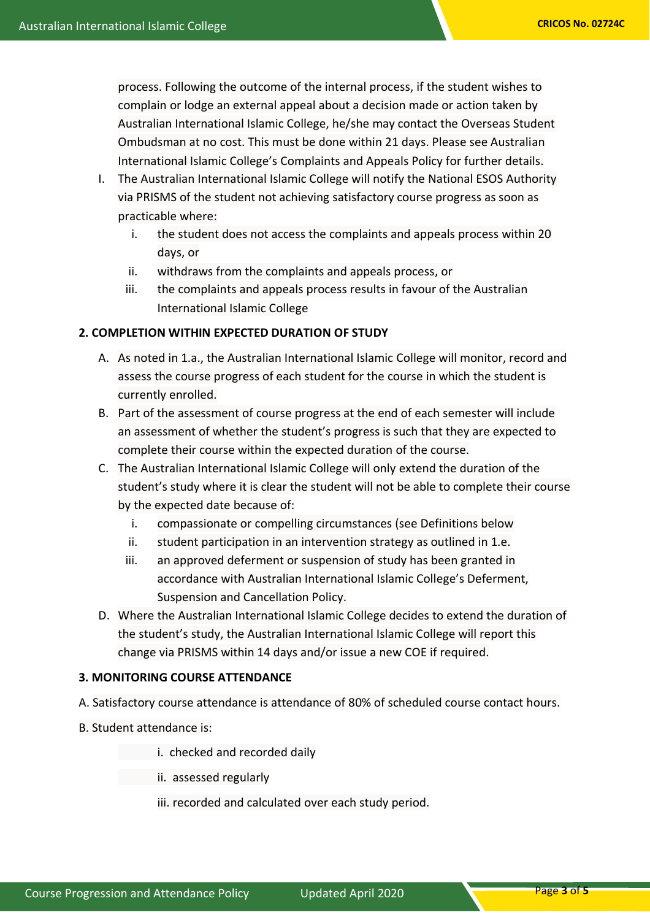process. Following the outcome of the internal process, if the student wishes to complain or lodge an external appeal about a decision made or action taken by Australian International Islamic College, he/she may contact the Overseas Student Ombudsman at no cost. This must be done within 21 days. Please see Australian International Islamic College's Complaints and Appeals Policy for further details.

- I. The Australian International Islamic College will notify the National ESOS Authority via PRISMS of the student not achieving satisfactory course progress as soon as practicable where:
	- i. the student does not access the complaints and appeals process within 20 days, or
	- ii. withdraws from the complaints and appeals process, or
	- iii. the complaints and appeals process results in favour of the Australian International Islamic College

#### **2. COMPLETION WITHIN EXPECTED DURATION OF STUDY**

- A. As noted in 1.a., the Australian International Islamic College will monitor, record and assess the course progress of each student for the course in which the student is currently enrolled.
- B. Part of the assessment of course progress at the end of each semester will include an assessment of whether the student's progress is such that they are expected to complete their course within the expected duration of the course.
- C. The Australian International Islamic College will only extend the duration of the student's study where it is clear the student will not be able to complete their course by the expected date because of:
	- i. compassionate or compelling circumstances (see Definitions below
	- ii. student participation in an intervention strategy as outlined in 1.e.
	- iii. an approved deferment or suspension of study has been granted in accordance with Australian International Islamic College's Deferment, Suspension and Cancellation Policy.
- D. Where the Australian International Islamic College decides to extend the duration of the student's study, the Australian International Islamic College will report this change via PRISMS within 14 days and/or issue a new COE if required.

#### **3. MONITORING COURSE ATTENDANCE**

- A. Satisfactory course attendance is attendance of 80% of scheduled course contact hours.
- B. Student attendance is:
	- i. checked and recorded daily
	- ii. assessed regularly
	- iii. recorded and calculated over each study period.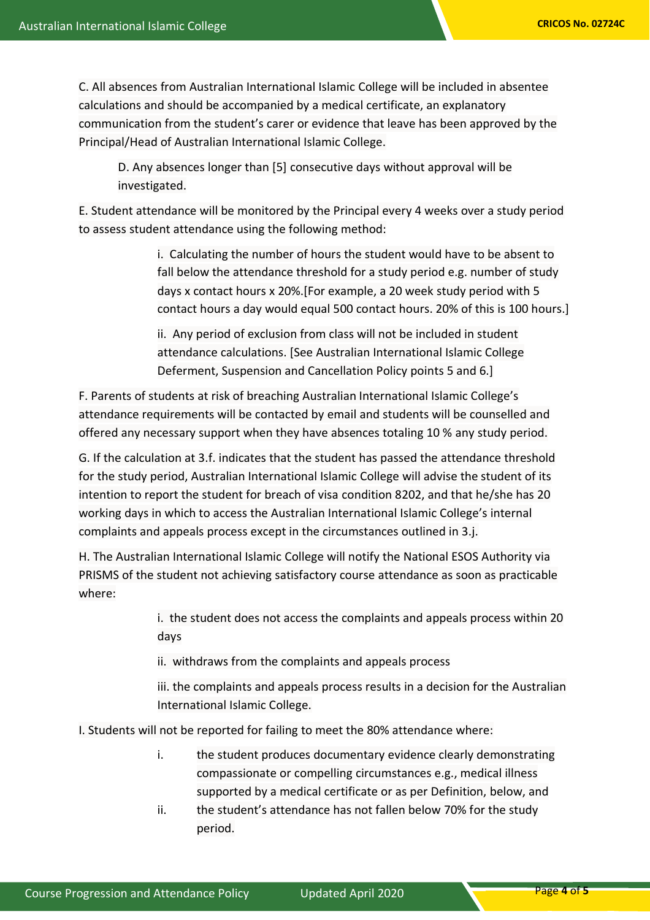C. All absences from Australian International Islamic College will be included in absentee calculations and should be accompanied by a medical certificate, an explanatory communication from the student's carer or evidence that leave has been approved by the Principal/Head of Australian International Islamic College.

D. Any absences longer than [5] consecutive days without approval will be investigated.

E. Student attendance will be monitored by the Principal every 4 weeks over a study period to assess student attendance using the following method:

> i. Calculating the number of hours the student would have to be absent to fall below the attendance threshold for a study period e.g. number of study days x contact hours x 20%.[For example, a 20 week study period with 5 contact hours a day would equal 500 contact hours. 20% of this is 100 hours.]

ii. Any period of exclusion from class will not be included in student attendance calculations. [See Australian International Islamic College Deferment, Suspension and Cancellation Policy points 5 and 6.]

F. Parents of students at risk of breaching Australian International Islamic College's attendance requirements will be contacted by email and students will be counselled and offered any necessary support when they have absences totaling 10 % any study period.

G. If the calculation at 3.f. indicates that the student has passed the attendance threshold for the study period, Australian International Islamic College will advise the student of its intention to report the student for breach of visa condition 8202, and that he/she has 20 working days in which to access the Australian International Islamic College's internal complaints and appeals process except in the circumstances outlined in 3.j.

H. The Australian International Islamic College will notify the National ESOS Authority via PRISMS of the student not achieving satisfactory course attendance as soon as practicable where:

> i. the student does not access the complaints and appeals process within 20 days

ii. withdraws from the complaints and appeals process

iii. the complaints and appeals process results in a decision for the Australian International Islamic College.

I. Students will not be reported for failing to meet the 80% attendance where:

- i. the student produces documentary evidence clearly demonstrating compassionate or compelling circumstances e.g., medical illness supported by a medical certificate or as per Definition, below, and
- ii. the student's attendance has not fallen below 70% for the study period.